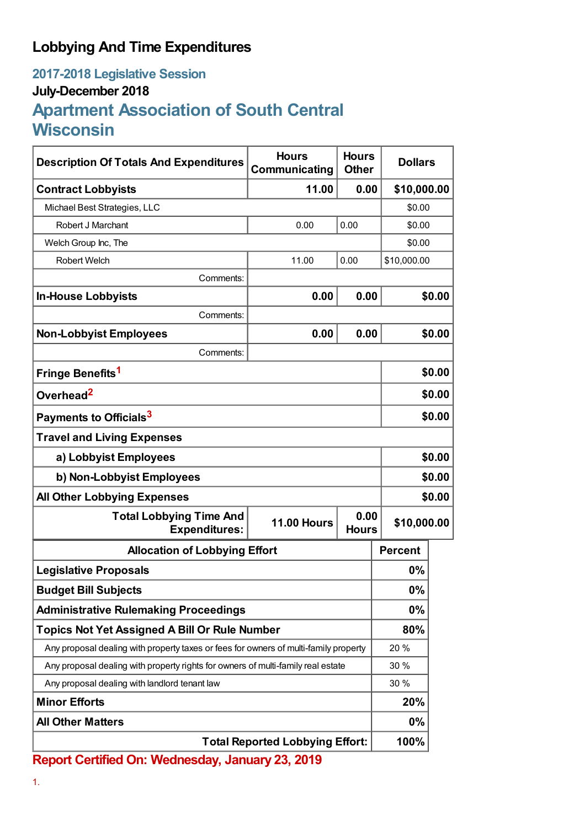## **Lobbying And Time Expenditures**

## **2017-2018 Legislative Session July-December 2018 Apartment Association of South Central Wisconsin**

| <b>Description Of Totals And Expenditures</b>                                        | <b>Hours</b><br>Communicating              | <b>Hours</b><br><b>Other</b> | <b>Dollars</b> |        |
|--------------------------------------------------------------------------------------|--------------------------------------------|------------------------------|----------------|--------|
| <b>Contract Lobbyists</b>                                                            | 11.00                                      | 0.00                         | \$10,000.00    |        |
| Michael Best Strategies, LLC                                                         |                                            |                              | \$0.00         |        |
| Robert J Marchant                                                                    | 0.00                                       | 0.00                         | \$0.00         |        |
| Welch Group Inc, The                                                                 |                                            |                              | \$0.00         |        |
| <b>Robert Welch</b>                                                                  | 11.00                                      | 0.00                         | \$10,000.00    |        |
| Comments:                                                                            |                                            |                              |                |        |
| <b>In-House Lobbyists</b>                                                            | 0.00                                       | 0.00                         |                | \$0.00 |
| Comments:                                                                            |                                            |                              |                |        |
| <b>Non-Lobbyist Employees</b>                                                        | 0.00                                       | 0.00                         |                | \$0.00 |
| Comments:                                                                            |                                            |                              |                |        |
| Fringe Benefits <sup>1</sup>                                                         |                                            |                              |                | \$0.00 |
| Overhead <sup>2</sup>                                                                |                                            |                              |                | \$0.00 |
| Payments to Officials <sup>3</sup>                                                   |                                            |                              |                | \$0.00 |
| <b>Travel and Living Expenses</b>                                                    |                                            |                              |                |        |
| a) Lobbyist Employees                                                                |                                            |                              | \$0.00         |        |
| b) Non-Lobbyist Employees                                                            |                                            |                              |                | \$0.00 |
| <b>All Other Lobbying Expenses</b>                                                   |                                            |                              |                | \$0.00 |
| <b>Total Lobbying Time And</b><br><b>Expenditures:</b>                               | 0.00<br><b>11.00 Hours</b><br><b>Hours</b> |                              | \$10,000.00    |        |
| <b>Allocation of Lobbying Effort</b>                                                 |                                            |                              | <b>Percent</b> |        |
| <b>Legislative Proposals</b>                                                         |                                            |                              | 0%             |        |
| <b>Budget Bill Subjects</b>                                                          |                                            |                              | 0%             |        |
| <b>Administrative Rulemaking Proceedings</b>                                         |                                            |                              | $0\%$          |        |
| <b>Topics Not Yet Assigned A Bill Or Rule Number</b>                                 |                                            |                              | 80%            |        |
| Any proposal dealing with property taxes or fees for owners of multi-family property |                                            |                              | 20%            |        |
| Any proposal dealing with property rights for owners of multi-family real estate     |                                            |                              | 30 %           |        |
| Any proposal dealing with landlord tenant law                                        |                                            |                              | 30 %           |        |
| <b>Minor Efforts</b>                                                                 |                                            |                              | 20%            |        |
| <b>All Other Matters</b>                                                             |                                            |                              | $0\%$          |        |
| <b>Total Reported Lobbying Effort:</b>                                               |                                            |                              | 100%           |        |

**Report Certified On: Wednesday, January 23, 2019**